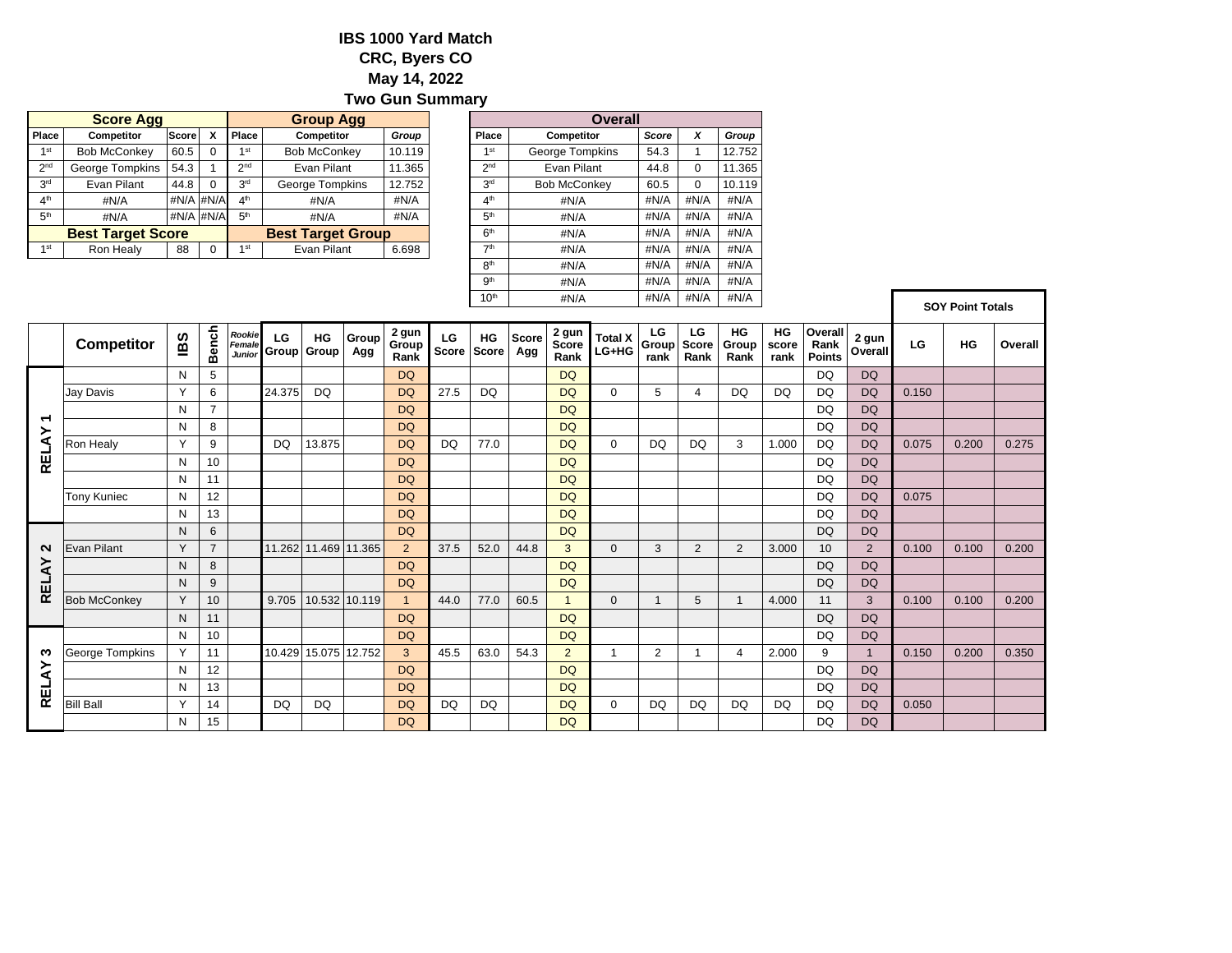### **IBS 1000 Yard Match CRC, Byers CO May 14, 2022 Two Gun Summary**

|                 | <b>Score Agg</b>                               |                 |          |                 | <b>Group Agg</b>         |        |                 |                                | <b>Overall</b>      |       |      |        |
|-----------------|------------------------------------------------|-----------------|----------|-----------------|--------------------------|--------|-----------------|--------------------------------|---------------------|-------|------|--------|
| Place           | Competitor                                     | <b>Score</b>    | x        | Place           | Competitor               | Group  |                 | Place                          | Competitor          | Score | x    | Group  |
| 1 <sup>st</sup> | <b>Bob McConkey</b>                            | 60.5            |          | 1 <sup>st</sup> | <b>Bob McConkey</b>      | 10.119 |                 | 1 <sup>st</sup>                | George Tompkins     | 54.3  |      | 12.752 |
| 2 <sub>nd</sub> | George Tompkins                                | 54.3            |          | 2 <sub>nd</sub> | Evan Pilant              | 11.365 |                 | 2 <sub>nd</sub><br>Evan Pilant |                     | 44.8  | 0    | 11.365 |
| 3 <sup>rd</sup> | Evan Pilant                                    | 44.8            | $\Omega$ | 3 <sup>rd</sup> | George Tompkins          | 12.752 |                 | 3 <sup>rd</sup>                | <b>Bob McConkey</b> | 60.5  | 0    | 10.119 |
| 4 <sup>th</sup> | #N/A                                           | $\#N/A$ $\#N/A$ |          | 4 <sup>th</sup> | #N/A                     | #N/A   |                 | 4 <sup>th</sup>                | #N/A                | #N/A  | #N/A | #N/A   |
| 5 <sup>th</sup> | #N/A                                           | #N/A #N/A       |          | 5 <sup>th</sup> | #N/A                     | #N/A   |                 | 5 <sup>th</sup>                | #N/A                | #N/A  | #N/A | #N/A   |
|                 | <b>Best Target Score</b>                       |                 |          |                 | <b>Best Target Group</b> |        |                 | 6 <sup>th</sup>                | #N/A                | #N/A  | #N/A | #N/A   |
| 1 <sub>st</sub> | 88<br>1 <sup>st</sup><br>Ron Healy<br>$\Omega$ |                 |          |                 | Evan Pilant              |        | 7 <sup>th</sup> | #N/A                           | #N/A                | #N/A  | #N/A |        |
|                 |                                                |                 |          |                 |                          |        |                 |                                |                     |       |      |        |

| <b>Overall</b>   |                     |              |      |        |  |  |  |  |  |  |  |  |  |  |
|------------------|---------------------|--------------|------|--------|--|--|--|--|--|--|--|--|--|--|
| <b>Place</b>     | Competitor          | <b>Score</b> | X    | Group  |  |  |  |  |  |  |  |  |  |  |
| 1 <sup>st</sup>  | George Tompkins     | 54.3         | 1    | 12.752 |  |  |  |  |  |  |  |  |  |  |
| 2 <sub>nd</sub>  | Evan Pilant         | 44.8         | 0    | 11.365 |  |  |  |  |  |  |  |  |  |  |
| 3 <sup>rd</sup>  | <b>Bob McConkey</b> | 60.5         | 0    | 10.119 |  |  |  |  |  |  |  |  |  |  |
| 4 <sup>th</sup>  | #N/A                | #N/A         | #N/A | #N/A   |  |  |  |  |  |  |  |  |  |  |
| 5 <sup>th</sup>  | #N/A                | #N/A         | #N/A | #N/A   |  |  |  |  |  |  |  |  |  |  |
| 6 <sup>th</sup>  | #N/A                | #N/A         | #N/A | #N/A   |  |  |  |  |  |  |  |  |  |  |
| 7 <sup>th</sup>  | #N/A                | #N/A         | #N/A | #N/A   |  |  |  |  |  |  |  |  |  |  |
| gth              | #N/A                | #N/A         | #N/A | #N/A   |  |  |  |  |  |  |  |  |  |  |
| gth              | #N/A                | #N/A         | #N/A | #N/A   |  |  |  |  |  |  |  |  |  |  |
| 10 <sup>th</sup> | #N/A                | #N/A         | #N/A | #N/A   |  |  |  |  |  |  |  |  |  |  |

 $\mathbf{I}$ 

|            |                     |              |                |                                   |             |                      |               |                        |                    | 10 <sup>th</sup> |              | #N/A                   |                         | #N/A                | #N/A                | #N/A                |                     |                                  |                         |       | <b>SOY Point Totals</b> |         |
|------------|---------------------|--------------|----------------|-----------------------------------|-------------|----------------------|---------------|------------------------|--------------------|------------------|--------------|------------------------|-------------------------|---------------------|---------------------|---------------------|---------------------|----------------------------------|-------------------------|-------|-------------------------|---------|
|            |                     |              |                |                                   |             |                      |               |                        |                    |                  |              |                        |                         |                     |                     |                     |                     |                                  |                         |       |                         |         |
|            | Competitor          | ВS           | Bench          | Rookie<br>Female<br><b>Junior</b> | LG<br>Group | HG<br>Group          | Group<br>Agg  | 2 gun<br>Group<br>Rank | LG<br><b>Score</b> | HG.<br>Score     | Score<br>Agg | 2 gun<br>Score<br>Rank | <b>Total X</b><br>LG+HG | LG<br>Group<br>rank | LG<br>Score<br>Rank | HG<br>Group<br>Rank | HG<br>score<br>rank | Overall<br>Rank<br><b>Points</b> | 2 gun<br><b>Overall</b> | LG    | HG                      | Overall |
|            |                     | N            | 5              |                                   |             |                      |               | <b>DQ</b>              |                    |                  |              | <b>DQ</b>              |                         |                     |                     |                     |                     | <b>DQ</b>                        | <b>DQ</b>               |       |                         |         |
|            | Jay Davis           | Υ            | 6              |                                   | 24.375      | <b>DQ</b>            |               | <b>DQ</b>              | 27.5               | <b>DQ</b>        |              | <b>DQ</b>              | 0                       | 5                   | 4                   | <b>DQ</b>           | <b>DQ</b>           | DQ                               | <b>DQ</b>               | 0.150 |                         |         |
| ⊣          |                     | N            | $\overline{7}$ |                                   |             |                      |               | <b>DQ</b>              |                    |                  |              | DQ                     |                         |                     |                     |                     |                     | DQ                               | <b>DQ</b>               |       |                         |         |
|            |                     | N            | 8              |                                   |             |                      |               | <b>DQ</b>              |                    |                  |              | <b>DQ</b>              |                         |                     |                     |                     |                     | DQ                               | <b>DQ</b>               |       |                         |         |
| RELAY      | Ron Healy           | Y            | 9              |                                   | <b>DQ</b>   | 13.875               |               | <b>DQ</b>              | <b>DO</b>          | 77.0             |              | <b>DQ</b>              | $\Omega$                | DQ                  | <b>DO</b>           | 3                   | 1.000               | <b>DQ</b>                        | <b>DQ</b>               | 0.075 | 0.200                   | 0.275   |
|            |                     | N            | 10             |                                   |             |                      |               | <b>DQ</b>              |                    |                  |              | <b>DQ</b>              |                         |                     |                     |                     |                     | <b>DQ</b>                        | <b>DQ</b>               |       |                         |         |
|            |                     | N            | 11             |                                   |             |                      |               | <b>DQ</b>              |                    |                  |              | DQ                     |                         |                     |                     |                     |                     | DQ                               | <b>DQ</b>               |       |                         |         |
|            | <b>Tony Kuniec</b>  | N            | 12             |                                   |             |                      |               | <b>DQ</b>              |                    |                  |              | <b>DQ</b>              |                         |                     |                     |                     |                     | DQ                               | <b>DQ</b>               | 0.075 |                         |         |
|            |                     | N            | 13             |                                   |             |                      |               | <b>DQ</b>              |                    |                  |              | DQ                     |                         |                     |                     |                     |                     | <b>DQ</b>                        | <b>DQ</b>               |       |                         |         |
|            |                     | N            | 6              |                                   |             |                      |               | <b>DQ</b>              |                    |                  |              | <b>DQ</b>              |                         |                     |                     |                     |                     | <b>DQ</b>                        | <b>DQ</b>               |       |                         |         |
| $\sim$     | Evan Pilant         | Y            | $\overline{7}$ |                                   |             | 11.262 11.469 11.365 |               | $\overline{2}$         | 37.5               | 52.0             | 44.8         | 3                      | $\Omega$                | 3                   | 2                   | $\overline{c}$      | 3.000               | 10                               | $2^{\circ}$             | 0.100 | 0.100                   | 0.200   |
| ≻<br>⋖     |                     | N            | 8              |                                   |             |                      |               | <b>DQ</b>              |                    |                  |              | <b>DQ</b>              |                         |                     |                     |                     |                     | <b>DQ</b>                        | <b>DQ</b>               |       |                         |         |
| <b>REL</b> |                     | N            | 9              |                                   |             |                      |               | <b>DQ</b>              |                    |                  |              | <b>DQ</b>              |                         |                     |                     |                     |                     | <b>DQ</b>                        | <b>DQ</b>               |       |                         |         |
|            | <b>Bob McConkey</b> | Y            | 10             |                                   | 9.705       |                      | 10.532 10.119 | $\mathbf{1}$           | 44.0               | 77.0             | 60.5         | $\mathbf{1}$           | $\Omega$                | $\mathbf{1}$        | 5                   | $\mathbf{1}$        | 4.000               | 11                               | 3                       | 0.100 | 0.100                   | 0.200   |
|            |                     | $\mathsf{N}$ | 11             |                                   |             |                      |               | <b>DQ</b>              |                    |                  |              | <b>DQ</b>              |                         |                     |                     |                     |                     | <b>DQ</b>                        | <b>DQ</b>               |       |                         |         |
|            |                     | N            | 10             |                                   |             |                      |               | <b>DQ</b>              |                    |                  |              | <b>DQ</b>              |                         |                     |                     |                     |                     | DQ                               | <b>DQ</b>               |       |                         |         |
| ო          | George Tompkins     | Y            | 11             |                                   |             | 10.429 15.075 12.752 |               | 3                      | 45.5               | 63.0             | 54.3         | $\overline{2}$         | $\mathbf{1}$            | 2                   | $\mathbf{1}$        | 4                   | 2.000               | 9                                | $\mathbf{1}$            | 0.150 | 0.200                   | 0.350   |
| $\lambda$  |                     | N            | 12             |                                   |             |                      |               | <b>DQ</b>              |                    |                  |              | <b>DQ</b>              |                         |                     |                     |                     |                     | DQ                               | <b>DQ</b>               |       |                         |         |
| <b>HEL</b> |                     | N            | 13             |                                   |             |                      |               | <b>DQ</b>              |                    |                  |              | <b>DQ</b>              |                         |                     |                     |                     |                     | <b>DQ</b>                        | <b>DQ</b>               |       |                         |         |
|            | <b>Bill Ball</b>    | Y            | 14             |                                   | DQ          | DQ                   |               | <b>DQ</b>              | <b>DQ</b>          | DQ               |              | <b>DQ</b>              | $\Omega$                | <b>DQ</b>           | DQ                  | DQ                  | <b>DQ</b>           | DQ                               | <b>DQ</b>               | 0.050 |                         |         |
|            |                     | N            | 15             |                                   |             |                      |               | <b>DO</b>              |                    |                  |              | <b>DO</b>              |                         |                     |                     |                     |                     | DQ                               | <b>DQ</b>               |       |                         |         |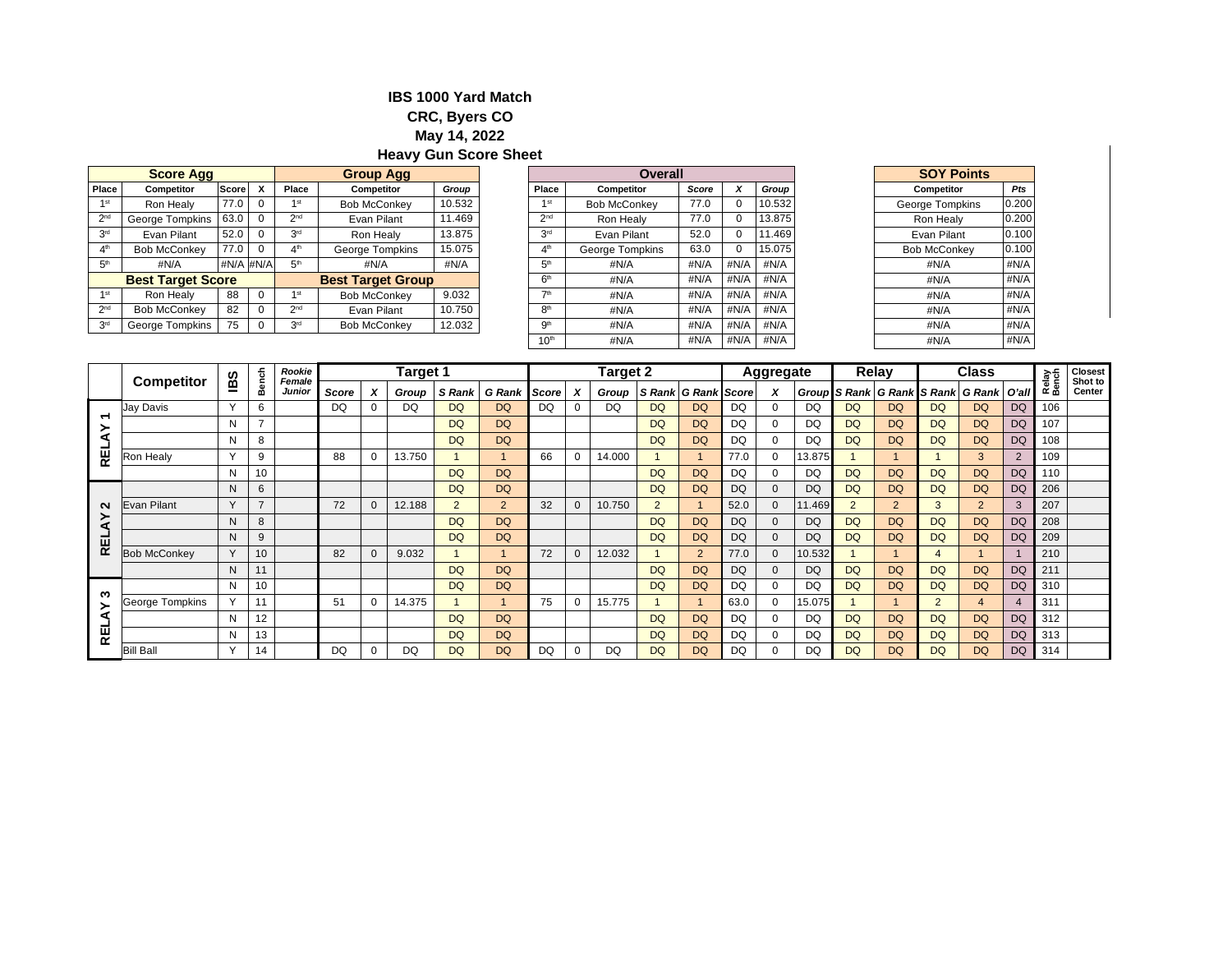#### **IBS 1000 Yard Match**

# **CRC, Byers CO**

**May 14, 2022**

#### **Heavy Gun Score Sheet**

| Place<br>Place<br>Competitor<br><b>Competitor</b><br>Group<br><b>Score</b><br>Score<br>Competitor<br>77.0<br>10.532<br>77.0<br>1 <sup>st</sup><br>1 <sup>st</sup><br>Ron Healy<br><b>Bob McConkey</b><br><b>Bob McConkey</b><br>63.0<br>11.469<br>77.0<br>2 <sub>nd</sub><br>2 <sub>nd</sub><br>Evan Pilant<br>Ron Healy<br>13.875<br>Evan Pilant<br>52.0<br>3 <sup>rd</sup><br>3 <sup>rd</sup><br>52.0<br>Evan Pilant<br>Ron Healy<br>77.0<br>15.075<br>63.0<br>4 <sup>th</sup><br>4 <sup>th</sup><br><b>Bob McConkey</b><br>George Tompkins<br>George Tompkins<br>5 <sup>th</sup><br>$\#N/A$ $\#N/A$<br>#N/A<br>#N/A<br>5 <sup>th</sup><br>#N/A<br>#N/A<br>#N/A<br>#N/A<br><b>Best Target Group</b><br><b>Best Target Score</b><br>6 <sup>th</sup><br>#N/A<br>#N/A<br>#N/A<br>88<br>9.032<br>#N/A<br>#N/A<br>7th<br>Ron Healy<br>1 <sup>st</sup><br><b>Bob McConkey</b><br>#N/A<br>82<br>10.750<br>#N/A<br><b>Bob McConkey</b><br>2 <sup>nd</sup><br>#N/A<br>8 <sup>th</sup><br>#N/A<br>Evan Pilant |                 | <b>Score Agg</b> |    |                 | <b>Group Agg</b>    |        |                 | <b>Overall</b> |      |      |        |
|-------------------------------------------------------------------------------------------------------------------------------------------------------------------------------------------------------------------------------------------------------------------------------------------------------------------------------------------------------------------------------------------------------------------------------------------------------------------------------------------------------------------------------------------------------------------------------------------------------------------------------------------------------------------------------------------------------------------------------------------------------------------------------------------------------------------------------------------------------------------------------------------------------------------------------------------------------------------------------------------------------|-----------------|------------------|----|-----------------|---------------------|--------|-----------------|----------------|------|------|--------|
|                                                                                                                                                                                                                                                                                                                                                                                                                                                                                                                                                                                                                                                                                                                                                                                                                                                                                                                                                                                                       | Place           |                  |    |                 |                     |        |                 |                |      |      | Group  |
|                                                                                                                                                                                                                                                                                                                                                                                                                                                                                                                                                                                                                                                                                                                                                                                                                                                                                                                                                                                                       |                 |                  |    |                 |                     |        |                 |                |      |      | 10.532 |
|                                                                                                                                                                                                                                                                                                                                                                                                                                                                                                                                                                                                                                                                                                                                                                                                                                                                                                                                                                                                       | 2 <sub>nd</sub> | George Tompkins  |    |                 |                     |        |                 |                |      |      | 13.875 |
|                                                                                                                                                                                                                                                                                                                                                                                                                                                                                                                                                                                                                                                                                                                                                                                                                                                                                                                                                                                                       | 3 <sup>rd</sup> |                  |    |                 |                     |        |                 |                |      |      | 11.469 |
|                                                                                                                                                                                                                                                                                                                                                                                                                                                                                                                                                                                                                                                                                                                                                                                                                                                                                                                                                                                                       | 4 <sup>th</sup> |                  |    |                 |                     |        |                 |                |      |      | 15.075 |
|                                                                                                                                                                                                                                                                                                                                                                                                                                                                                                                                                                                                                                                                                                                                                                                                                                                                                                                                                                                                       | 5 <sup>th</sup> |                  |    |                 |                     |        |                 |                |      |      | #N/A   |
|                                                                                                                                                                                                                                                                                                                                                                                                                                                                                                                                                                                                                                                                                                                                                                                                                                                                                                                                                                                                       |                 |                  |    |                 |                     |        |                 |                |      |      | #N/A   |
|                                                                                                                                                                                                                                                                                                                                                                                                                                                                                                                                                                                                                                                                                                                                                                                                                                                                                                                                                                                                       | 1 <sup>st</sup> |                  |    |                 |                     |        |                 |                |      |      | #N/A   |
|                                                                                                                                                                                                                                                                                                                                                                                                                                                                                                                                                                                                                                                                                                                                                                                                                                                                                                                                                                                                       | 2 <sup>nd</sup> |                  |    |                 |                     |        |                 |                |      |      | #N/A   |
|                                                                                                                                                                                                                                                                                                                                                                                                                                                                                                                                                                                                                                                                                                                                                                                                                                                                                                                                                                                                       | 3 <sup>rd</sup> | George Tompkins  | 75 | 3 <sup>rd</sup> | <b>Bob McConkey</b> | 12.032 | 9 <sup>th</sup> | #N/A           | #N/A | #N/A | #N/A   |

|                  | <b>Overall</b>      |       |          |        |  |
|------------------|---------------------|-------|----------|--------|--|
| Place            | Competitor          | Score | x        | Group  |  |
| 1 <sup>st</sup>  | <b>Bob McConkey</b> | 77.0  | $\Omega$ | 10.532 |  |
| 2 <sub>nd</sub>  | Ron Healy           | 77.0  | $\Omega$ | 13.875 |  |
| 3 <sup>rd</sup>  | Evan Pilant         | 52.0  | $\Omega$ | 11.469 |  |
| 4 <sup>th</sup>  | George Tompkins     | 63.0  | $\Omega$ | 15.075 |  |
| 5 <sup>th</sup>  | #N/A                | #N/A  | #N/A     | #N/A   |  |
| 6 <sup>th</sup>  | #N/A                | #N/A  | #N/A     | #N/A   |  |
| 7 <sup>th</sup>  | #N/A                | #N/A  | #N/A     | #N/A   |  |
| <b>Rth</b>       | #N/A                | #N/A  | #N/A     | #N/A   |  |
| gth              | #N/A                | #N/A  | #N/A     | #N/A   |  |
| 10 <sup>th</sup> | #N/A                | #N/A  | #N/A     | #N/A   |  |

| <b>SOY Points</b>   |       |
|---------------------|-------|
| Competitor          | Pts   |
| George Tompkins     | 0.200 |
| Ron Healy           | 0.200 |
| Evan Pilant         | 0.100 |
| <b>Bob McConkey</b> | 0.100 |
| #N/A                | #N/A  |
| #N/A                | #N/A  |
| #N/A                | #N/A  |
| #N/A                | #N/A  |
| #N/A                | #N/A  |
| #N/A                | #N/A  |
|                     |       |

|            | <b>Competitor</b>   | w            | Bench         | Rookie          |       | <b>Target 1</b> |                |               |       |          | <b>Target 2</b> |                |                     |           | Aggregate    |           | Relav     |                                           |                | <b>Class</b> |                |                | <b>Closest</b><br>Shot to |
|------------|---------------------|--------------|---------------|-----------------|-------|-----------------|----------------|---------------|-------|----------|-----------------|----------------|---------------------|-----------|--------------|-----------|-----------|-------------------------------------------|----------------|--------------|----------------|----------------|---------------------------|
|            |                     | ≝            |               | Female<br>Junio | Score | Group           | S Rank         | <b>G</b> Rank | Score | x        | Group           |                | S Rank G Rank Score |           | x            |           |           | Group S Rank G Rank S Rank G Rank   O'all |                |              |                | Relay<br>Bench | Center                    |
|            | Jay Davis           | $\checkmark$ | 6             |                 | DQ    | DO              | <b>DQ</b>      | <b>DQ</b>     | DQ    |          | DQ              | <b>DQ</b>      | <b>DQ</b>           | DQ        | $\Omega$     | DQ        | <b>DQ</b> | DQ                                        | <b>DQ</b>      | DQ           | DQ             | 106            |                           |
| Н<br>≻     |                     | N            | $\rightarrow$ |                 |       |                 | <b>DO</b>      | <b>DQ</b>     |       |          |                 | <b>DQ</b>      | <b>DQ</b>           | DQ        | 0            | DQ        | <b>DQ</b> | <b>DO</b>                                 | <b>DQ</b>      | <b>DQ</b>    | <b>DQ</b>      | 107            |                           |
|            |                     | N            | 8             |                 |       |                 | <b>DO</b>      | <b>DQ</b>     |       |          |                 | <b>DQ</b>      | <b>DO</b>           | DQ        | 0            | DO        | <b>DQ</b> | <b>DO</b>                                 | <b>DQ</b>      | <b>DQ</b>    | <b>DQ</b>      | 108            |                           |
| 핉          | Ron Healy           | $\checkmark$ |               |                 | 88    | 13.750          |                | $\mathbf{1}$  | 66    |          | 14.000          |                |                     | 77.0      | $\Omega$     | 13.875    |           |                                           |                | 3            | $\overline{2}$ | 109            |                           |
|            |                     | N            | 10            |                 |       |                 | <b>DQ</b>      | <b>DQ</b>     |       |          |                 | <b>DQ</b>      | <b>DQ</b>           | <b>DO</b> | 0            | DQ        | <b>DQ</b> | <b>DQ</b>                                 | <b>DQ</b>      | <b>DQ</b>    | <b>DO</b>      | 110            |                           |
|            |                     |              | 6             |                 |       |                 | <b>DQ</b>      | <b>DQ</b>     |       |          |                 | <b>DQ</b>      | <b>DO</b>           | <b>DO</b> | $\mathbf{0}$ | DO        | <b>DQ</b> | <b>DO</b>                                 | <b>DQ</b>      | <b>DQ</b>    | <b>DO</b>      | 206            |                           |
| N          | Evan Pilant         | $\mathsf{Y}$ |               |                 | 72    | 12.188          | $\overline{2}$ | $2^{\circ}$   | 32    | $\Omega$ | 10.750          | $\overline{2}$ |                     | 52.0      | $\mathbf{0}$ | 11.469    |           | $\overline{2}$                            | 3              | $2^{\circ}$  | 3              | 207            |                           |
| ⋖          |                     | N            | 8             |                 |       |                 | <b>DO</b>      | <b>DQ</b>     |       |          |                 | <b>DQ</b>      | <b>DO</b>           | <b>DQ</b> | $\mathbf{0}$ | <b>DO</b> | <b>DQ</b> | <b>DQ</b>                                 | <b>DQ</b>      | <b>DQ</b>    | <b>DQ</b>      | 208            |                           |
| <b>REL</b> |                     | N            | 9             |                 |       |                 | <b>DO</b>      | <b>DQ</b>     |       |          |                 | <b>DQ</b>      | <b>DO</b>           | <b>DO</b> | $\mathbf{0}$ | DO        | <b>DQ</b> | <b>DO</b>                                 | <b>DQ</b>      | <b>DQ</b>    | <b>DO</b>      | 209            |                           |
|            | <b>Bob McConkey</b> | $\vee$       | 10            |                 | 82    | 9.032           |                |               | 72    | $\Omega$ | 12.032          |                | $\overline{2}$      | 77.0      | $\Omega$     | 10.532    |           |                                           | 4              |              |                | 210            |                           |
|            |                     | N            | 11            |                 |       |                 | <b>DQ</b>      | <b>DQ</b>     |       |          |                 | <b>DQ</b>      | <b>DQ</b>           | <b>DQ</b> | $\mathbf{0}$ | <b>DQ</b> | <b>DQ</b> | <b>DQ</b>                                 | <b>DQ</b>      | <b>DQ</b>    | <b>DQ</b>      | 211            |                           |
| ო          |                     | N            | 10            |                 |       |                 | <b>DQ</b>      | <b>DQ</b>     |       |          |                 | <b>DQ</b>      | DQ                  | DQ        | 0            | DO        | <b>DQ</b> | <b>DQ</b>                                 | <b>DQ</b>      | DQ           | <b>DQ</b>      | 310            |                           |
| ≻          | George Tompkins     | $\checkmark$ |               |                 | 51    | 14.375          |                |               | 75    | $\Omega$ | 15.775          |                |                     | 63.0      | 0            | 15.075    |           |                                           | $\overline{2}$ | 4            |                | 311            |                           |
| ₫          |                     | N            | 12            |                 |       |                 | <b>DQ</b>      | <b>DQ</b>     |       |          |                 | <b>DQ</b>      | <b>DQ</b>           | DQ        | $\Omega$     | DQ        | <b>DQ</b> | <b>DQ</b>                                 | <b>DQ</b>      | <b>DQ</b>    | <b>DO</b>      | 312            |                           |
| <b>REL</b> |                     | N            | 13            |                 |       |                 | <b>DO</b>      | <b>DQ</b>     |       |          |                 | <b>DQ</b>      | <b>DQ</b>           | DQ        | 0            | DO        | <b>DQ</b> | <b>DQ</b>                                 | <b>DQ</b>      | DQ           | <b>DO</b>      | 313            |                           |
|            | <b>Bill Ball</b>    | $\checkmark$ | 14            |                 | DQ    | DO              | <b>DQ</b>      | <b>DQ</b>     | DQ    | $\Omega$ | <b>DO</b>       | <b>DQ</b>      | <b>DO</b>           | DO        | 0            | DO        | DQ        | DO                                        | <b>DQ</b>      | <b>DQ</b>    | <b>DQ</b>      | 314            |                           |